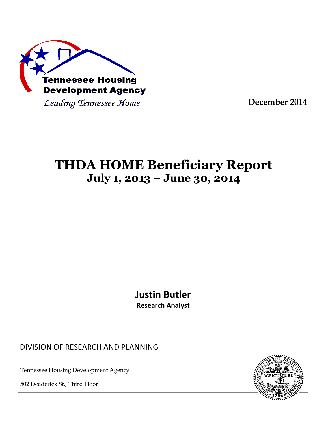

Leading Tennessee Home

**December 2014**

# **THDA HOME Beneficiary Report July 1, 2013 – June 30, 2014**

**Justin Butler Research Analyst**

DIVISION OF RESEARCH AND PLANNING

Tennessee Housing Development Agency

502 Deaderick St., Third Floor

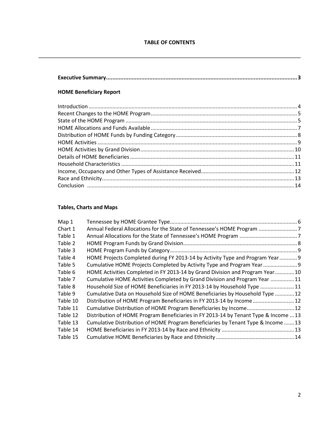#### **HOME Beneficiary Report**

#### **Tables, Charts and Maps**

| Map 1    |                                                                                      |  |
|----------|--------------------------------------------------------------------------------------|--|
| Chart 1  | Annual Federal Allocations for the State of Tennessee's HOME Program                 |  |
| Table 1  |                                                                                      |  |
| Table 2  |                                                                                      |  |
| Table 3  |                                                                                      |  |
| Table 4  | HOME Projects Completed during FY 2013-14 by Activity Type and Program Year 9        |  |
| Table 5  | Cumulative HOME Projects Completed by Activity Type and Program Year                 |  |
| Table 6  | HOME Activities Completed in FY 2013-14 by Grand Division and Program Year 10        |  |
| Table 7  | Cumulative HOME Activities Completed by Grand Division and Program Year 11           |  |
| Table 8  | Household Size of HOME Beneficiaries in FY 2013-14 by Household Type  11             |  |
| Table 9  | Cumulative Data on Household Size of HOME Beneficiaries by Household Type  12        |  |
| Table 10 | Distribution of HOME Program Beneficiaries in FY 2013-14 by Income 12                |  |
| Table 11 | Cumulative Distribution of HOME Program Beneficiaries by Income 12                   |  |
| Table 12 | Distribution of HOME Program Beneficiaries in FY 2013-14 by Tenant Type & Income  13 |  |
| Table 13 | Cumulative Distribution of HOME Program Beneficiaries by Tenant Type & Income  13    |  |
| Table 14 |                                                                                      |  |
| Table 15 |                                                                                      |  |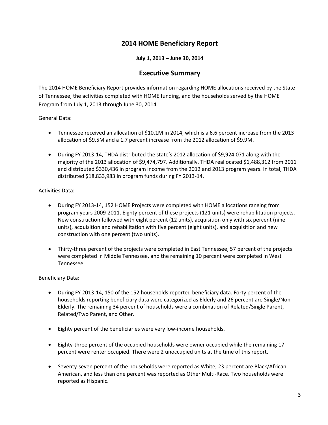# **2014 HOME Beneficiary Report**

#### **July 1, 2013 – June 30, 2014**

### **Executive Summary**

The 2014 HOME Beneficiary Report provides information regarding HOME allocations received by the State of Tennessee, the activities completed with HOME funding, and the households served by the HOME Program from July 1, 2013 through June 30, 2014.

General Data:

- Tennessee received an allocation of \$10.1M in 2014, which is a 6.6 percent increase from the 2013 allocation of \$9.5M and a 1.7 percent increase from the 2012 allocation of \$9.9M.
- During FY 2013-14, THDA distributed the state's 2012 allocation of \$9,924,071 along with the majority of the 2013 allocation of \$9,474,797. Additionally, THDA reallocated \$1,488,312 from 2011 and distributed \$330,436 in program income from the 2012 and 2013 program years. In total, THDA distributed \$18,833,983 in program funds during FY 2013-14.

Activities Data:

- During FY 2013-14, 152 HOME Projects were completed with HOME allocations ranging from program years 2009-2011. Eighty percent of these projects (121 units) were rehabilitation projects. New construction followed with eight percent (12 units), acquisition only with six percent (nine units), acquisition and rehabilitation with five percent (eight units), and acquisition and new construction with one percent (two units).
- Thirty-three percent of the projects were completed in East Tennessee, 57 percent of the projects were completed in Middle Tennessee, and the remaining 10 percent were completed in West Tennessee.

Beneficiary Data:

- During FY 2013-14, 150 of the 152 households reported beneficiary data. Forty percent of the households reporting beneficiary data were categorized as Elderly and 26 percent are Single/Non-Elderly. The remaining 34 percent of households were a combination of Related/Single Parent, Related/Two Parent, and Other.
- Eighty percent of the beneficiaries were very low-income households.
- Eighty-three percent of the occupied households were owner occupied while the remaining 17 percent were renter occupied. There were 2 unoccupied units at the time of this report.
- Seventy-seven percent of the households were reported as White, 23 percent are Black/African American, and less than one percent was reported as Other Multi-Race. Two households were reported as Hispanic.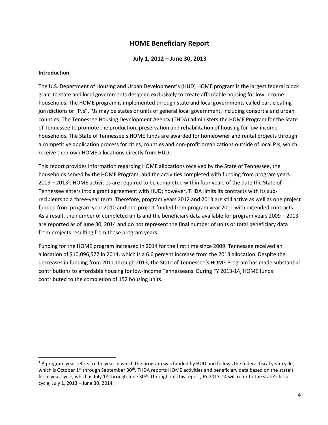# **HOME Beneficiary Report**

#### **July 1, 2012 – June 30, 2013**

#### **Introduction**

 $\overline{a}$ 

The U.S. Department of Housing and Urban Development's (HUD) HOME program is the largest federal block grant to state and local governments designed exclusively to create affordable housing for low-income households. The HOME program is implemented through state and local governments called participating jurisdictions or "PJs". PJs may be states or units of general local government, including consortia and urban counties. The Tennessee Housing Development Agency (THDA) administers the HOME Program for the State of Tennessee to promote the production, preservation and rehabilitation of housing for low-income households. The State of Tennessee's HOME funds are awarded for homeowner and rental projects through a competitive application process for cities, counties and non-profit organizations outside of local PJs, which receive their own HOME allocations directly from HUD.

This report provides information regarding HOME allocations received by the State of Tennessee, the households served by the HOME Program, and the activities completed with funding from program years 2009 – 2013<sup>1</sup>. HOME activities are required to be completed within four years of the date the State of Tennessee enters into a grant agreement with HUD; however, THDA limits its contracts with its subrecipients to a three-year term. Therefore, program years 2012 and 2013 are still active as well as one project funded from program year 2010 and one project funded from program year 2011 with extended contracts. As a result, the number of completed units and the beneficiary data available for program years 2009 – 2013 are reported as of June 30, 2014 and do not represent the final number of units or total beneficiary data from projects resulting from those program years.

Funding for the HOME program increased in 2014 for the first time since 2009. Tennessee received an allocation of \$10,096,577 in 2014, which is a 6.6 percent increase from the 2013 allocation. Despite the decreases in funding from 2011 through 2013, the State of Tennessee's HOME Program has made substantial contributions to affordable housing for low-income Tennesseans. During FY 2013-14, HOME funds contributed to the completion of 152 housing units.

 $1$  A program year refers to the year in which the program was funded by HUD and follows the federal fiscal year cycle, which is October 1<sup>st</sup> through September 30<sup>th</sup>. THDA reports HOME activities and beneficiary data based on the state's fiscal year cycle, which is July 1<sup>st</sup> through June 30<sup>th</sup>. Throughout this report, FY 2013-14 will refer to the state's fiscal cycle, July 1, 2013 – June 30, 2014.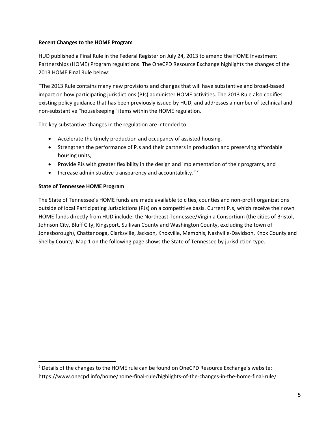#### **Recent Changes to the HOME Program**

HUD published a Final Rule in the Federal Register on July 24, 2013 to amend the HOME Investment Partnerships (HOME) Program regulations. The OneCPD Resource Exchange highlights the changes of the 2013 HOME Final Rule below:

"The 2013 Rule contains many new provisions and changes that will have substantive and broad-based impact on how participating jurisdictions (PJs) administer HOME activities. The 2013 Rule also codifies existing policy guidance that has been previously issued by HUD, and addresses a number of technical and non-substantive "housekeeping" items within the HOME regulation.

The key substantive changes in the regulation are intended to:

- Accelerate the timely production and occupancy of assisted housing,
- Strengthen the performance of PJs and their partners in production and preserving affordable housing units,
- Provide PJs with greater flexibility in the design and implementation of their programs, and
- $\bullet$  Increase administrative transparency and accountability."<sup>2</sup>

#### **State of Tennessee HOME Program**

 $\overline{a}$ 

The State of Tennessee's HOME funds are made available to cities, counties and non-profit organizations outside of local Participating Jurisdictions (PJs) on a competitive basis. Current PJs, which receive their own HOME funds directly from HUD include: the Northeast Tennessee/Virginia Consortium (the cities of Bristol, Johnson City, Bluff City, Kingsport, Sullivan County and Washington County, excluding the town of Jonesborough), Chattanooga, Clarksville, Jackson, Knoxville, Memphis, Nashville-Davidson, Knox County and Shelby County. Map 1 on the following page shows the State of Tennessee by jurisdiction type.

<sup>&</sup>lt;sup>2</sup> Details of the changes to the HOME rule can be found on OneCPD Resource Exchange's website: https://www.onecpd.info/home/home-final-rule/highlights-of-the-changes-in-the-home-final-rule/.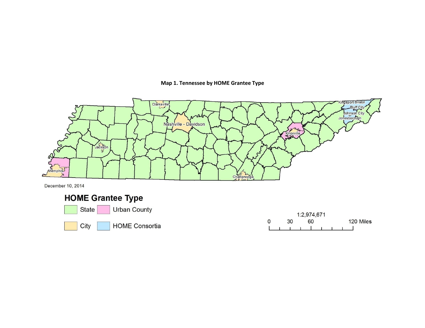#### **Map 1. Tennessee by HOME Grantee Type**



December 10, 2014

# **HOME Grantee Type**



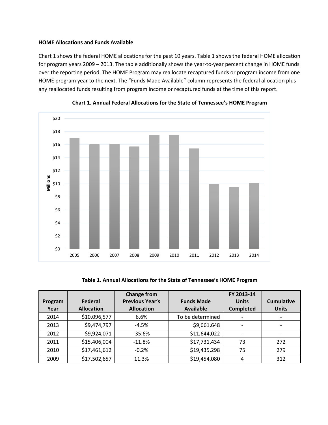#### **HOME Allocations and Funds Available**

Chart 1 shows the federal HOME allocations for the past 10 years. Table 1 shows the federal HOME allocation for program years 2009 – 2013. The table additionally shows the year-to-year percent change in HOME funds over the reporting period. The HOME Program may reallocate recaptured funds or program income from one HOME program year to the next. The "Funds Made Available" column represents the federal allocation plus any reallocated funds resulting from program income or recaptured funds at the time of this report.



**Chart 1. Annual Federal Allocations for the State of Tennessee's HOME Program**

**Table 1. Annual Allocations for the State of Tennessee's HOME Program**

| Program<br>Year | Federal<br><b>Allocation</b> | <b>Change from</b><br><b>Previous Year's</b><br><b>Allocation</b> | <b>Funds Made</b><br><b>Available</b> | FY 2013-14<br><b>Units</b><br><b>Completed</b> | <b>Cumulative</b><br><b>Units</b> |
|-----------------|------------------------------|-------------------------------------------------------------------|---------------------------------------|------------------------------------------------|-----------------------------------|
| 2014            | \$10,096,577                 | 6.6%                                                              | To be determined                      |                                                |                                   |
| 2013            | \$9,474,797                  | $-4.5%$                                                           | \$9,661,648                           | $\overline{\phantom{a}}$                       |                                   |
| 2012            | \$9,924,071                  | $-35.6%$                                                          | \$11,644,022                          | $\overline{\phantom{a}}$                       |                                   |
| 2011            | \$15,406,004                 | $-11.8%$                                                          | \$17,731,434                          | 73                                             | 272                               |
| 2010            | \$17,461,612                 | $-0.2%$                                                           | \$19,435,298                          | 75                                             | 279                               |
| 2009            | \$17,502,657                 | 11.3%                                                             | \$19,454,080                          | 4                                              | 312                               |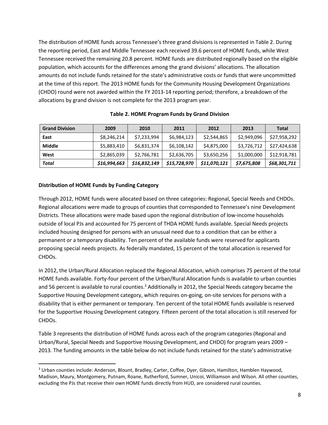The distribution of HOME funds across Tennessee's three grand divisions is represented in Table 2. During the reporting period, East and Middle Tennessee each received 39.6 percent of HOME funds, while West Tennessee received the remaining 20.8 percent. HOME funds are distributed regionally based on the eligible population, which accounts for the differences among the grand divisions' allocations. The allocation amounts do not include funds retained for the state's administrative costs or funds that were uncommitted at the time of this report. The 2013 HOME funds for the Community Housing Development Organizations (CHDO) round were not awarded within the FY 2013-14 reporting period; therefore, a breakdown of the allocations by grand division is not complete for the 2013 program year.

| <b>Grand Division</b> | 2009         | 2010         | 2011         | 2012         | 2013        | Total        |
|-----------------------|--------------|--------------|--------------|--------------|-------------|--------------|
| East                  | \$8,246,214  | \$7,233,994  | \$6,984,123  | \$2,544,865  | \$2,949,096 | \$27,958,292 |
| Middle                | \$5,883,410  | \$6,831,374  | \$6,108,142  | \$4,875,000  | \$3,726,712 | \$27.424.638 |
| West                  | \$2,865,039  | \$2,766,781  | \$2,636,705  | \$3,650,256  | \$1,000,000 | \$12,918,781 |
| Total                 | \$16,994,663 | \$16,832,149 | \$15,728,970 | \$11,070,121 | \$7,675,808 | \$68,301,711 |

#### **Table 2. HOME Program Funds by Grand Division**

#### **Distribution of HOME Funds by Funding Category**

 $\overline{\phantom{a}}$ 

Through 2012, HOME funds were allocated based on three categories: Regional, Special Needs and CHDOs. Regional allocations were made to groups of counties that corresponded to Tennessee's nine Development Districts. These allocations were made based upon the regional distribution of low-income households outside of local PJs and accounted for 75 percent of THDA HOME funds available. Special Needs projects included housing designed for persons with an unusual need due to a condition that can be either a permanent or a temporary disability. Ten percent of the available funds were reserved for applicants proposing special needs projects. As federally mandated, 15 percent of the total allocation is reserved for CHDOs.

In 2012, the Urban/Rural Allocation replaced the Regional Allocation, which comprises 75 percent of the total HOME funds available. Forty-four percent of the Urban/Rural Allocation funds is available to urban counties and 56 percent is available to rural counties.<sup>3</sup> Additionally in 2012, the Special Needs category became the Supportive Housing Development category, which requires on-going, on-site services for persons with a disability that is either permanent or temporary. Ten percent of the total HOME funds available is reserved for the Supportive Housing Development category. Fifteen percent of the total allocation is still reserved for CHDOs.

Table 3 represents the distribution of HOME funds across each of the program categories (Regional and Urban/Rural, Special Needs and Supportive Housing Development, and CHDO) for program years 2009 – 2013. The funding amounts in the table below do not include funds retained for the state's administrative

<sup>&</sup>lt;sup>3</sup> Urban counties include: Anderson, Blount, Bradley, Carter, Coffee, Dyer, Gibson, Hamilton, Hamblen Haywood, Madison, Maury, Montgomery, Putnam, Roane, Rutherford, Sumner, Unicoi, Williamson and Wilson. All other counties, excluding the PJs that receive their own HOME funds directly from HUD, are considered rural counties.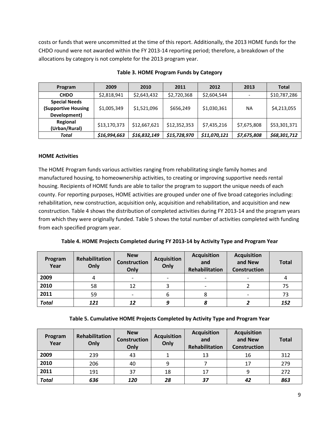costs or funds that were uncommitted at the time of this report. Additionally, the 2013 HOME funds for the CHDO round were not awarded within the FY 2013-14 reporting period; therefore, a breakdown of the allocations by category is not complete for the 2013 program year.

| Program                                                            | 2009         | 2010         | 2011         | 2012         | 2013        | Total        |
|--------------------------------------------------------------------|--------------|--------------|--------------|--------------|-------------|--------------|
| <b>CHDO</b>                                                        | \$2,818,941  | \$2,643,432  | \$2,720,368  | \$2,604,544  |             | \$10,787,286 |
| <b>Special Needs</b><br><b>(Supportive Housing</b><br>Development) | \$1,005,349  | \$1,521,096  | \$656,249    | \$1,030,361  | NA          | \$4,213,055  |
| Regional<br>(Urban/Rural)                                          | \$13,170,373 | \$12,667,621 | \$12,352,353 | \$7,435,216  | \$7,675,808 | \$53,301,371 |
| Total                                                              | \$16,994,663 | \$16,832,149 | \$15,728,970 | \$11,070,121 | \$7,675,808 | \$68,301,712 |

#### **Table 3. HOME Program Funds by Category**

#### **HOME Activities**

The HOME Program funds various activities ranging from rehabilitating single family homes and manufactured housing, to homeownership activities, to creating or improving supportive needs rental housing. Recipients of HOME funds are able to tailor the program to support the unique needs of each county. For reporting purposes, HOME activities are grouped under one of five broad categories including: rehabilitation, new construction, acquisition only, acquisition and rehabilitation, and acquisition and new construction. Table 4 shows the distribution of completed activities during FY 2013-14 and the program years from which they were originally funded. Table 5 shows the total number of activities completed with funding from each specified program year.

**Table 4. HOME Projects Completed during FY 2013-14 by Activity Type and Program Year**

| Program<br>Year | Rehabilitation<br>Only | <b>New</b><br><b>Construction</b><br>Only | <b>Acquisition</b><br>Only | <b>Acquisition</b><br>and<br>Rehabilitation | <b>Acquisition</b><br>and New<br><b>Construction</b> | <b>Total</b> |
|-----------------|------------------------|-------------------------------------------|----------------------------|---------------------------------------------|------------------------------------------------------|--------------|
| 2009            |                        |                                           |                            | $\overline{\phantom{a}}$                    |                                                      | 4            |
| 2010            | 58                     | 12                                        |                            | $\overline{\phantom{a}}$                    |                                                      | 75           |
| 2011            | 59                     |                                           | 6                          | Ο                                           | $\overline{\phantom{a}}$                             | 73           |
| <b>Total</b>    | 121                    | 12                                        | 9                          |                                             |                                                      | 152          |

#### **Table 5. Cumulative HOME Projects Completed by Activity Type and Program Year**

| Program<br>Year | Rehabilitation<br>Only | <b>New</b><br><b>Construction</b><br>Only | <b>Acquisition</b><br>Only | <b>Acquisition</b><br>and<br>Rehabilitation | <b>Acquisition</b><br>and New<br><b>Construction</b> | <b>Total</b> |
|-----------------|------------------------|-------------------------------------------|----------------------------|---------------------------------------------|------------------------------------------------------|--------------|
| 2009            | 239                    | 43                                        |                            | 13                                          | 16                                                   | 312          |
| 2010            | 206                    | 40                                        | 9                          |                                             | 17                                                   | 279          |
| 2011            | 191                    | 37                                        | 18                         | 17                                          | Q                                                    | 272          |
| <b>Total</b>    | 636                    | 120                                       | 28                         | 37                                          | 42                                                   | 863          |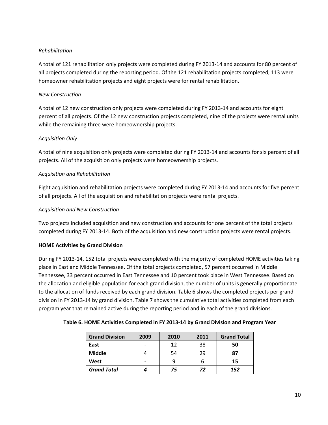#### *Rehabilitation*

A total of 121 rehabilitation only projects were completed during FY 2013-14 and accounts for 80 percent of all projects completed during the reporting period. Of the 121 rehabilitation projects completed, 113 were homeowner rehabilitation projects and eight projects were for rental rehabilitation.

#### *New Construction*

A total of 12 new construction only projects were completed during FY 2013-14 and accounts for eight percent of all projects. Of the 12 new construction projects completed, nine of the projects were rental units while the remaining three were homeownership projects.

#### *Acquisition Only*

A total of nine acquisition only projects were completed during FY 2013-14 and accounts for six percent of all projects. All of the acquisition only projects were homeownership projects.

#### *Acquisition and Rehabilitation*

Eight acquisition and rehabilitation projects were completed during FY 2013-14 and accounts for five percent of all projects. All of the acquisition and rehabilitation projects were rental projects.

#### *Acquisition and New Construction*

Two projects included acquisition and new construction and accounts for one percent of the total projects completed during FY 2013-14. Both of the acquisition and new construction projects were rental projects.

#### **HOME Activities by Grand Division**

During FY 2013-14, 152 total projects were completed with the majority of completed HOME activities taking place in East and Middle Tennessee. Of the total projects completed, 57 percent occurred in Middle Tennessee, 33 percent occurred in East Tennessee and 10 percent took place in West Tennessee. Based on the allocation and eligible population for each grand division, the number of units is generally proportionate to the allocation of funds received by each grand division. Table 6 shows the completed projects per grand division in FY 2013-14 by grand division. Table 7 shows the cumulative total activities completed from each program year that remained active during the reporting period and in each of the grand divisions.

#### **Table 6. HOME Activities Completed in FY 2013-14 by Grand Division and Program Year**

| <b>Grand Division</b> | 2009 | 2010 | 2011 | <b>Grand Total</b> |
|-----------------------|------|------|------|--------------------|
| East                  |      | 12   | 38   | 50                 |
| Middle                |      | 54   | 29   | 87                 |
| West                  |      |      | o    | 15                 |
| <b>Grand Total</b>    |      | 75   | 72   | 152                |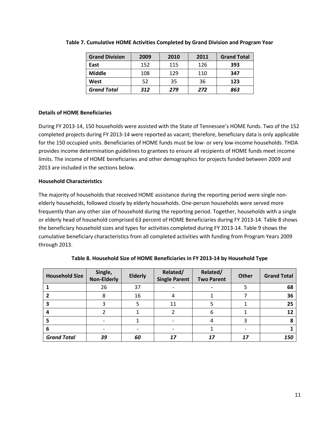| <b>Grand Division</b> | 2009 | 2010 | 2011 | <b>Grand Total</b> |
|-----------------------|------|------|------|--------------------|
| East                  | 152  | 115  | 126  | 393                |
| <b>Middle</b>         | 108  | 129  | 110  | 347                |
| West                  | 52   | 35   | 36   | 123                |
| <b>Grand Total</b>    | 312  | 279  | 272  | 863                |

#### **Table 7. Cumulative HOME Activities Completed by Grand Division and Program Year**

#### **Details of HOME Beneficiaries**

During FY 2013-14, 150 households were assisted with the State of Tennessee's HOME funds. Two of the 152 completed projects during FY 2013-14 were reported as vacant; therefore, beneficiary data is only applicable for the 150 occupied units. Beneficiaries of HOME funds must be low- or very low-income households. THDA provides income determination guidelines to grantees to ensure all recipients of HOME funds meet income limits. The income of HOME beneficiaries and other demographics for projects funded between 2009 and 2013 are included in the sections below.

#### **Household Characteristics**

The majority of households that received HOME assistance during the reporting period were single nonelderly households, followed closely by elderly households. One-person households were served more frequently than any other size of household during the reporting period. Together, households with a single or elderly head of household comprised 63 percent of HOME Beneficiaries during FY 2013-14. Table 8 shows the beneficiary household sizes and types for activities completed during FY 2013-14. Table 9 shows the cumulative beneficiary characteristics from all completed activities with funding from Program Years 2009 through 2013.

| <b>Household Size</b> | Single,<br><b>Non-Elderly</b> | <b>Elderly</b> | Related/<br><b>Single Parent</b> | Related/<br><b>Two Parent</b> | <b>Other</b> | <b>Grand Total</b> |
|-----------------------|-------------------------------|----------------|----------------------------------|-------------------------------|--------------|--------------------|
|                       | 26                            | 37             |                                  |                               |              | 68                 |
|                       | 8                             | 16             | 4                                |                               |              | 36                 |
|                       |                               |                | 11                               |                               |              | 25                 |
|                       |                               |                |                                  | 6                             |              | 12                 |
|                       |                               |                |                                  |                               |              | 8                  |
| 6                     |                               |                |                                  |                               |              |                    |
| <b>Grand Total</b>    | 39                            | 60             | 17                               | 17                            | 17           | 150                |

**Table 8. Household Size of HOME Beneficiaries in FY 2013-14 by Household Type**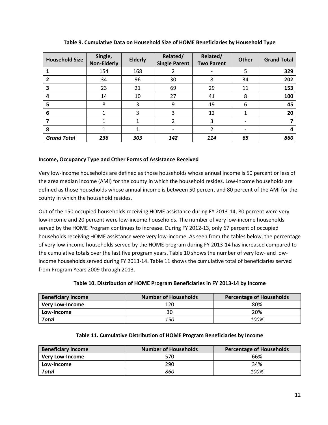| <b>Household Size</b> | Single,<br><b>Non-Elderly</b> | <b>Elderly</b> | Related/<br><b>Single Parent</b> | Related/<br><b>Two Parent</b> | <b>Other</b> | <b>Grand Total</b> |
|-----------------------|-------------------------------|----------------|----------------------------------|-------------------------------|--------------|--------------------|
|                       | 154                           | 168            |                                  |                               | 5            | 329                |
|                       | 34                            | 96             | 30                               | 8                             | 34           | 202                |
| 3                     | 23                            | 21             | 69                               | 29                            | 11           | 153                |
| 4                     | 14                            | 10             | 27                               | 41                            | 8            | 100                |
| 5                     | 8                             | 3              | 9                                | 19                            | 6            | 45                 |
| 6                     |                               | 3              | 3                                | 12                            |              | 20                 |
|                       |                               |                | 2                                | 3                             |              |                    |
| 8                     |                               |                |                                  | $\mathcal{P}$                 |              | 4                  |
| <b>Grand Total</b>    | 236                           | 303            | 142                              | 114                           | 65           | 860                |

**Table 9. Cumulative Data on Household Size of HOME Beneficiaries by Household Type**

#### **Income, Occupancy Type and Other Forms of Assistance Received**

Very low-income households are defined as those households whose annual income is 50 percent or less of the area median income (AMI) for the county in which the household resides. Low-income households are defined as those households whose annual income is between 50 percent and 80 percent of the AMI for the county in which the household resides.

Out of the 150 occupied households receiving HOME assistance during FY 2013-14, 80 percent were very low-income and 20 percent were low-income households. The number of very low-income households served by the HOME Program continues to increase. During FY 2012-13, only 67 percent of occupied households receiving HOME assistance were very low-income. As seen from the tables below, the percentage of very low-income households served by the HOME program during FY 2013-14 has increased compared to the cumulative totals over the last five program years. Table 10 shows the number of very low- and lowincome households served during FY 2013-14. Table 11 shows the cumulative total of beneficiaries served from Program Years 2009 through 2013.

#### **Table 10. Distribution of HOME Program Beneficiaries in FY 2013-14 by Income**

| <b>Beneficiary Income</b> | <b>Number of Households</b> | Percentage of Households |
|---------------------------|-----------------------------|--------------------------|
| <b>Very Low-Income</b>    | 120                         | 80%                      |
| Low-Income                | 30                          | 20%                      |
| <b>Total</b>              | 150                         | 100%                     |

| <b>Beneficiary Income</b> | <b>Number of Households</b> | <b>Percentage of Households</b> |
|---------------------------|-----------------------------|---------------------------------|
| <b>Very Low-Income</b>    | 570                         | 66%                             |
| Low-Income                | 290                         | 34%                             |
| <b>Total</b>              | 860                         | 100%                            |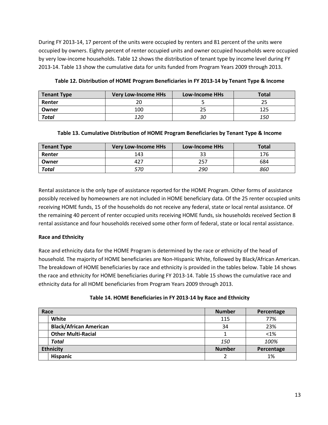During FY 2013-14, 17 percent of the units were occupied by renters and 81 percent of the units were occupied by owners. Eighty percent of renter occupied units and owner occupied households were occupied by very low-income households. Table 12 shows the distribution of tenant type by income level during FY 2013-14. Table 13 show the cumulative data for units funded from Program Years 2009 through 2013.

| <b>Tenant Type</b> | <b>Very Low-Income HHs</b> | <b>Low-Income HHs</b> | <b>Total</b> |
|--------------------|----------------------------|-----------------------|--------------|
| Renter             |                            |                       |              |
| Owner              | 100                        |                       | 125          |
| <b>Total</b>       | 120                        | 30                    | <i>150</i>   |

**Table 12. Distribution of HOME Program Beneficiaries in FY 2013-14 by Tenant Type & Income**

#### **Table 13. Cumulative Distribution of HOME Program Beneficiaries by Tenant Type & Income**

| <b>Tenant Type</b> | <b>Very Low-Income HHs</b> | <b>Low-Income HHs</b> | <b>Total</b> |
|--------------------|----------------------------|-----------------------|--------------|
| Renter             | 143                        |                       | 176          |
| Owner              |                            | 257                   | 684          |
| <b>Total</b>       |                            | 290                   | 860          |

Rental assistance is the only type of assistance reported for the HOME Program. Other forms of assistance possibly received by homeowners are not included in HOME beneficiary data. Of the 25 renter occupied units receiving HOME funds, 15 of the households do not receive any federal, state or local rental assistance. Of the remaining 40 percent of renter occupied units receiving HOME funds, six households received Section 8 rental assistance and four households received some other form of federal, state or local rental assistance.

#### **Race and Ethnicity**

Race and ethnicity data for the HOME Program is determined by the race or ethnicity of the head of household. The majority of HOME beneficiaries are Non-Hispanic White, followed by Black/African American. The breakdown of HOME beneficiaries by race and ethnicity is provided in the tables below. Table 14 shows the race and ethnicity for HOME beneficiaries during FY 2013-14. Table 15 shows the cumulative race and ethnicity data for all HOME beneficiaries from Program Years 2009 through 2013.

| Race |                               | <b>Number</b> | Percentage |
|------|-------------------------------|---------------|------------|
|      | White                         | 115           | 77%        |
|      | <b>Black/African American</b> | 34            | 23%        |
|      | <b>Other Multi-Racial</b>     |               | < 1%       |
|      | <b>Total</b>                  | <i>150</i>    | 100%       |
|      | <b>Ethnicity</b>              | <b>Number</b> | Percentage |
|      | <b>Hispanic</b>               |               | 1%         |

#### **Table 14. HOME Beneficiaries in FY 2013-14 by Race and Ethnicity**